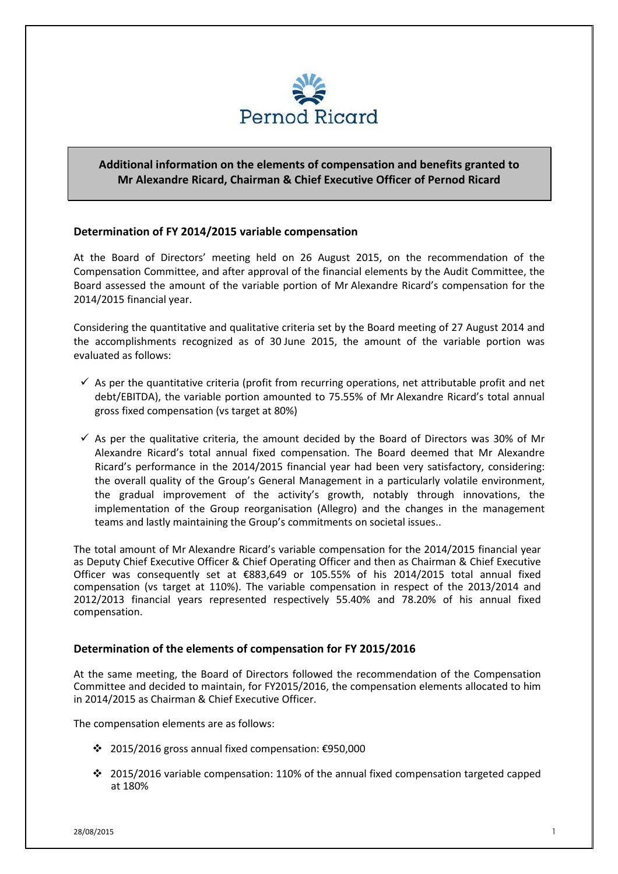

## **Additional information on the elements of compensation and benefits granted to Mr Alexandre Ricard, Chairman & Chief Executive Officer of Pernod Ricard**

## **Determination of FY 2014/2015 variable compensation**

At the Board of Directors' meeting held on 26 August 2015, on the recommendation of the Compensation Committee, and after approval of the financial elements by the Audit Committee, the Board assessed the amount of the variable portion of Mr Alexandre Ricard's compensation for the 2014/2015 financial year.

Considering the quantitative and qualitative criteria set by the Board meeting of 27 August 2014 and the accomplishments recognized as of 30 June 2015, the amount of the variable portion was evaluated as follows:

- $\checkmark$  As per the quantitative criteria (profit from recurring operations, net attributable profit and net debt/EBITDA), the variable portion amounted to 75.55% of Mr Alexandre Ricard's total annual gross fixed compensation (vs target at 80%)
- $\checkmark$  As per the qualitative criteria, the amount decided by the Board of Directors was 30% of Mr Alexandre Ricard's total annual fixed compensation. The Board deemed that Mr Alexandre Ricard's performance in the 2014/2015 financial year had been very satisfactory, considering: the overall quality of the Group's General Management in a particularly volatile environment, the gradual improvement of the activity's growth, notably through innovations, the implementation of the Group reorganisation (Allegro) and the changes in the management teams and lastly maintaining the Group's commitments on societal issues..

The total amount of Mr Alexandre Ricard's variable compensation for the 2014/2015 financial year as Deputy Chief Executive Officer & Chief Operating Officer and then as Chairman & Chief Executive Officer was consequently set at €883,649 or 105.55% of his 2014/2015 total annual fixed compensation (vs target at 110%). The variable compensation in respect of the 2013/2014 and 2012/2013 financial years represented respectively 55.40% and 78.20% of his annual fixed compensation.

## **Determination of the elements of compensation for FY 2015/2016**

At the same meeting, the Board of Directors followed the recommendation of the Compensation Committee and decided to maintain, for FY2015/2016, the compensation elements allocated to him in 2014/2015 as Chairman & Chief Executive Officer.

The compensation elements are as follows:

- 2015/2016 gross annual fixed compensation: €950,000
- 2015/2016 variable compensation: 110% of the annual fixed compensation targeted capped at 180%